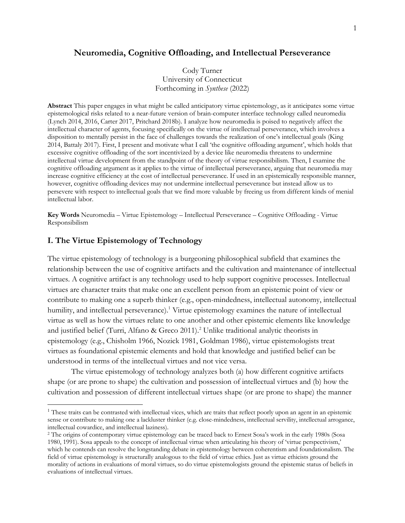## **Neuromedia, Cognitive Offloading, and Intellectual Perseverance**

Cody Turner University of Connecticut Forthcoming in *Synthese* (2022)

**Abstract** This paper engages in what might be called anticipatory virtue epistemology, as it anticipates some virtue epistemological risks related to a near-future version of brain-computer interface technology called neuromedia (Lynch 2014, 2016, Carter 2017, Pritchard 2018b). I analyze how neuromedia is poised to negatively affect the intellectual character of agents, focusing specifically on the virtue of intellectual perseverance, which involves a disposition to mentally persist in the face of challenges towards the realization of one's intellectual goals (King 2014, Battaly 2017). First, I present and motivate what I call 'the cognitive offloading argument', which holds that excessive cognitive offloading of the sort incentivized by a device like neuromedia threatens to undermine intellectual virtue development from the standpoint of the theory of virtue responsibilism. Then, I examine the cognitive offloading argument as it applies to the virtue of intellectual perseverance, arguing that neuromedia may increase cognitive efficiency at the cost of intellectual perseverance. If used in an epistemically responsible manner, however, cognitive offloading devices may not undermine intellectual perseverance but instead allow us to persevere with respect to intellectual goals that we find more valuable by freeing us from different kinds of menial intellectual labor.

**Key Words** Neuromedia – Virtue Epistemology – Intellectual Perseverance – Cognitive Offloading - Virtue Responsibilism

## **I. The Virtue Epistemology of Technology**

The virtue epistemology of technology is a burgeoning philosophical subfield that examines the relationship between the use of cognitive artifacts and the cultivation and maintenance of intellectual virtues. A cognitive artifact is any technology used to help support cognitive processes. Intellectual virtues are character traits that make one an excellent person from an epistemic point of view or contribute to making one a superb thinker (e.g., open-mindedness, intellectual autonomy, intellectual humility, and intellectual perseverance). <sup>1</sup> Virtue epistemology examines the nature of intellectual virtue as well as how the virtues relate to one another and other epistemic elements like knowledge and justified belief (Turri, Alfano & Greco 2011).<sup>2</sup> Unlike traditional analytic theorists in epistemology (e.g., Chisholm 1966, Nozick 1981, Goldman 1986), virtue epistemologists treat virtues as foundational epistemic elements and hold that knowledge and justified belief can be understood in terms of the intellectual virtues and not vice versa.

The virtue epistemology of technology analyzes both (a) how different cognitive artifacts shape (or are prone to shape) the cultivation and possession of intellectual virtues and (b) how the cultivation and possession of different intellectual virtues shape (or are prone to shape) the manner

<sup>&</sup>lt;sup>1</sup> These traits can be contrasted with intellectual vices, which are traits that reflect poorly upon an agent in an epistemic sense or contribute to making one a lackluster thinker (e.g. close-mindedness, intellectual servility, intellectual arrogance, intellectual cowardice, and intellectual laziness).

<sup>2</sup> The origins of contemporary virtue epistemology can be traced back to Ernest Sosa's work in the early 1980s (Sosa 1980, 1991). Sosa appeals to the concept of intellectual virtue when articulating his theory of 'virtue perspectivism,' which he contends can resolve the longstanding debate in epistemology between coherentism and foundationalism. The field of virtue epistemology is structurally analogous to the field of virtue ethics. Just as virtue ethicists ground the morality of actions in evaluations of moral virtues, so do virtue epistemologists ground the epistemic status of beliefs in evaluations of intellectual virtues.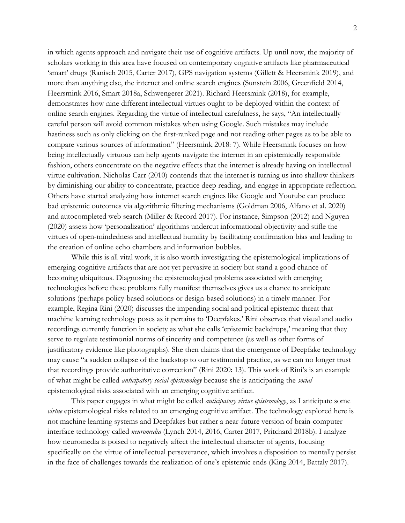in which agents approach and navigate their use of cognitive artifacts. Up until now, the majority of scholars working in this area have focused on contemporary cognitive artifacts like pharmaceutical 'smart' drugs (Ranisch 2015, Carter 2017), GPS navigation systems (Gillett & Heersmink 2019), and more than anything else, the internet and online search engines (Sunstein 2006, Greenfield 2014, Heersmink 2016, Smart 2018a, Schwengerer 2021). Richard Heersmink (2018), for example, demonstrates how nine different intellectual virtues ought to be deployed within the context of online search engines. Regarding the virtue of intellectual carefulness, he says, "An intellectually careful person will avoid common mistakes when using Google. Such mistakes may include hastiness such as only clicking on the first-ranked page and not reading other pages as to be able to compare various sources of information" (Heersmink 2018: 7). While Heersmink focuses on how being intellectually virtuous can help agents navigate the internet in an epistemically responsible fashion, others concentrate on the negative effects that the internet is already having on intellectual virtue cultivation. Nicholas Carr (2010) contends that the internet is turning us into shallow thinkers by diminishing our ability to concentrate, practice deep reading, and engage in appropriate reflection. Others have started analyzing how internet search engines like Google and Youtube can produce bad epistemic outcomes via algorithmic filtering mechanisms (Goldman 2006, Alfano et al. 2020) and autocompleted web search (Miller & Record 2017). For instance, Simpson (2012) and Nguyen (2020) assess how 'personalization' algorithms undercut informational objectivity and stifle the virtues of open-mindedness and intellectual humility by facilitating confirmation bias and leading to the creation of online echo chambers and information bubbles.

While this is all vital work, it is also worth investigating the epistemological implications of emerging cognitive artifacts that are not yet pervasive in society but stand a good chance of becoming ubiquitous. Diagnosing the epistemological problems associated with emerging technologies before these problems fully manifest themselves gives us a chance to anticipate solutions (perhaps policy-based solutions or design-based solutions) in a timely manner. For example, Regina Rini (2020) discusses the impending social and political epistemic threat that machine learning technology poses as it pertains to 'Deepfakes.' Rini observes that visual and audio recordings currently function in society as what she calls 'epistemic backdrops,' meaning that they serve to regulate testimonial norms of sincerity and competence (as well as other forms of justificatory evidence like photographs). She then claims that the emergence of Deepfake technology may cause "a sudden collapse of the backstop to our testimonial practice, as we can no longer trust that recordings provide authoritative correction" (Rini 2020: 13). This work of Rini's is an example of what might be called *anticipatory social epistemology* because she is anticipating the *social*  epistemological risks associated with an emerging cognitive artifact.

This paper engages in what might be called *anticipatory virtue epistemology*, as I anticipate some *virtue* epistemological risks related to an emerging cognitive artifact. The technology explored here is not machine learning systems and Deepfakes but rather a near-future version of brain-computer interface technology called *neuromedia* (Lynch 2014, 2016, Carter 2017, Pritchard 2018b). I analyze how neuromedia is poised to negatively affect the intellectual character of agents, focusing specifically on the virtue of intellectual perseverance, which involves a disposition to mentally persist in the face of challenges towards the realization of one's epistemic ends (King 2014, Battaly 2017).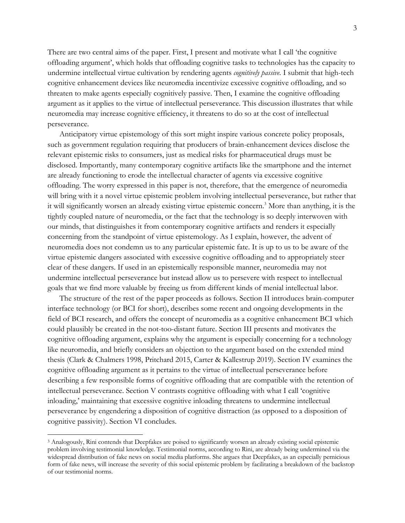There are two central aims of the paper. First, I present and motivate what I call 'the cognitive offloading argument', which holds that offloading cognitive tasks to technologies has the capacity to undermine intellectual virtue cultivation by rendering agents *cognitively passive.* I submit that high-tech cognitive enhancement devices like neuromedia incentivize excessive cognitive offloading, and so threaten to make agents especially cognitively passive. Then, I examine the cognitive offloading argument as it applies to the virtue of intellectual perseverance. This discussion illustrates that while neuromedia may increase cognitive efficiency, it threatens to do so at the cost of intellectual perseverance.

Anticipatory virtue epistemology of this sort might inspire various concrete policy proposals, such as government regulation requiring that producers of brain-enhancement devices disclose the relevant epistemic risks to consumers, just as medical risks for pharmaceutical drugs must be disclosed. Importantly, many contemporary cognitive artifacts like the smartphone and the internet are already functioning to erode the intellectual character of agents via excessive cognitive offloading. The worry expressed in this paper is not, therefore, that the emergence of neuromedia will bring with it a novel virtue epistemic problem involving intellectual perseverance, but rather that it will significantly worsen an already existing virtue epistemic concern. <sup>3</sup> More than anything, it is the tightly coupled nature of neuromedia, or the fact that the technology is so deeply interwoven with our minds, that distinguishes it from contemporary cognitive artifacts and renders it especially concerning from the standpoint of virtue epistemology. As I explain, however, the advent of neuromedia does not condemn us to any particular epistemic fate. It is up to us to be aware of the virtue epistemic dangers associated with excessive cognitive offloading and to appropriately steer clear of these dangers. If used in an epistemically responsible manner, neuromedia may not undermine intellectual perseverance but instead allow us to persevere with respect to intellectual goals that we find more valuable by freeing us from different kinds of menial intellectual labor.

The structure of the rest of the paper proceeds as follows. Section II introduces brain-computer interface technology (or BCI for short), describes some recent and ongoing developments in the field of BCI research, and offers the concept of neuromedia as a cognitive enhancement BCI which could plausibly be created in the not-too-distant future. Section III presents and motivates the cognitive offloading argument, explains why the argument is especially concerning for a technology like neuromedia, and briefly considers an objection to the argument based on the extended mind thesis (Clark & Chalmers 1998, Pritchard 2015, Carter & Kallestrup 2019). Section IV examines the cognitive offloading argument as it pertains to the virtue of intellectual perseverance before describing a few responsible forms of cognitive offloading that are compatible with the retention of intellectual perseverance. Section V contrasts cognitive offloading with what I call 'cognitive inloading,' maintaining that excessive cognitive inloading threatens to undermine intellectual perseverance by engendering a disposition of cognitive distraction (as opposed to a disposition of cognitive passivity). Section VI concludes.

<sup>3</sup> Analogously, Rini contends that Deepfakes are poised to significantly worsen an already existing social epistemic problem involving testimonial knowledge. Testimonial norms, according to Rini, are already being undermined via the widespread distribution of fake news on social media platforms. She argues that Deepfakes, as an especially pernicious form of fake news, will increase the severity of this social epistemic problem by facilitating a breakdown of the backstop of our testimonial norms.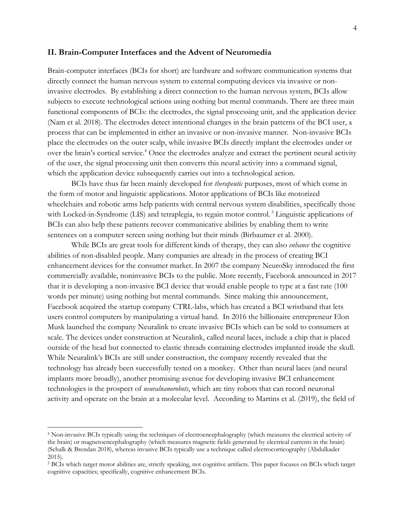#### **II. Brain-Computer Interfaces and the Advent of Neuromedia**

Brain-computer interfaces (BCIs for short) are hardware and software communication systems that directly connect the human nervous system to external computing devices via invasive or noninvasive electrodes. By establishing a direct connection to the human nervous system, BCIs allow subjects to execute technological actions using nothing but mental commands. There are three main functional components of BCIs: the electrodes, the signal processing unit, and the application device (Nam et al. 2018). The electrodes detect intentional changes in the brain patterns of the BCI user, a process that can be implemented in either an invasive or non-invasive manner. Non-invasive BCIs place the electrodes on the outer scalp, while invasive BCIs directly implant the electrodes under or over the brain's cortical service. <sup>4</sup> Once the electrodes analyze and extract the pertinent neural activity of the user, the signal processing unit then converts this neural activity into a command signal, which the application device subsequently carries out into a technological action.

BCIs have thus far been mainly developed for *therapeutic* purposes, most of which come in the form of motor and linguistic applications. Motor applications of BCIs like motorized wheelchairs and robotic arms help patients with central nervous system disabilities, specifically those with Locked-in-Syndrome (LIS) and tetraplegia, to regain motor control.<sup>5</sup> Linguistic applications of BCIs can also help these patients recover communicative abilities by enabling them to write sentences on a computer screen using nothing but their minds (Birbaumer et al. 2000).

While BCIs are great tools for different kinds of therapy, they can also *enhance* the cognitive abilities of non-disabled people. Many companies are already in the process of creating BCI enhancement devices for the consumer market. In 2007 the company NeuroSky introduced the first commercially available, noninvasive BCIs to the public. More recently, Facebook announced in 2017 that it is developing a non-invasive BCI device that would enable people to type at a fast rate (100 words per minute) using nothing but mental commands. Since making this announcement, Facebook acquired the startup company CTRL-labs, which has created a BCI wristband that lets users control computers by manipulating a virtual hand. In 2016 the billionaire entrepreneur Elon Musk launched the company Neuralink to create invasive BCIs which can be sold to consumers at scale. The devices under construction at Neuralink, called neural laces, include a chip that is placed outside of the head but connected to elastic threads containing electrodes implanted inside the skull. While Neuralink's BCIs are still under construction, the company recently revealed that the technology has already been successfully tested on a monkey. Other than neural laces (and neural implants more broadly), another promising avenue for developing invasive BCI enhancement technologies is the prospect of *neuralnanorobots*, which are tiny robots that can record neuronal activity and operate on the brain at a molecular level. According to Martins et al. (2019), the field of

<sup>4</sup> Non-invasive BCIs typically using the techniques of electroencephalography (which measures the electrical activity of the brain) or magnetoencephalography (which measures magnetic fields generated by electrical currents in the brain) (Schalk & Brendan 2018), whereas invasive BCIs typically use a technique called electrocorticography (Abdulkader 2015).

<sup>5</sup> BCIs which target motor abilities are, strictly speaking, not cognitive artifacts. This paper focuses on BCIs which target cognitive capacities; specifically, cognitive enhancement BCIs.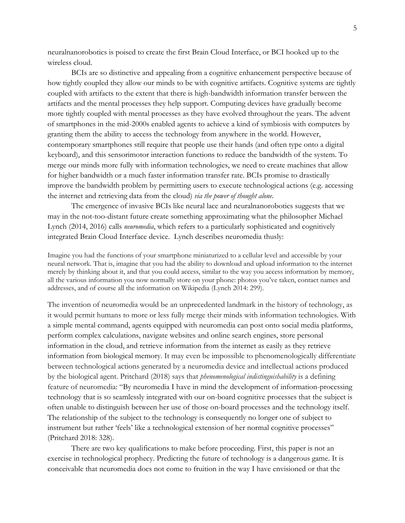neuralnanorobotics is poised to create the first Brain Cloud Interface, or BCI hooked up to the wireless cloud.

BCIs are so distinctive and appealing from a cognitive enhancement perspective because of how tightly coupled they allow our minds to be with cognitive artifacts. Cognitive systems are tightly coupled with artifacts to the extent that there is high-bandwidth information transfer between the artifacts and the mental processes they help support. Computing devices have gradually become more tightly coupled with mental processes as they have evolved throughout the years. The advent of smartphones in the mid-2000s enabled agents to achieve a kind of symbiosis with computers by granting them the ability to access the technology from anywhere in the world. However, contemporary smartphones still require that people use their hands (and often type onto a digital keyboard), and this sensorimotor interaction functions to reduce the bandwidth of the system. To merge our minds more fully with information technologies, we need to create machines that allow for higher bandwidth or a much faster information transfer rate. BCIs promise to drastically improve the bandwidth problem by permitting users to execute technological actions (e.g. accessing the internet and retrieving data from the cloud) *via the power of thought alone.*

The emergence of invasive BCIs like neural lace and neuralnanorobotics suggests that we may in the not-too-distant future create something approximating what the philosopher Michael Lynch (2014, 2016) calls *neuromedia*, which refers to a particularly sophisticated and cognitively integrated Brain Cloud Interface device. Lynch describes neuromedia thusly:

Imagine you had the functions of your smartphone miniaturized to a cellular level and accessible by your neural network. That is, imagine that you had the ability to download and upload information to the internet merely by thinking about it, and that you could access, similar to the way you access information by memory, all the various information you now normally store on your phone: photos you've taken, contact names and addresses, and of course all the information on Wikipedia (Lynch 2014: 299).

The invention of neuromedia would be an unprecedented landmark in the history of technology, as it would permit humans to more or less fully merge their minds with information technologies. With a simple mental command, agents equipped with neuromedia can post onto social media platforms, perform complex calculations, navigate websites and online search engines, store personal information in the cloud, and retrieve information from the internet as easily as they retrieve information from biological memory. It may even be impossible to phenomenologically differentiate between technological actions generated by a neuromedia device and intellectual actions produced by the biological agent. Pritchard (2018) says that *phenomenological indistinguishability* is a defining feature of neuromedia: "By neuromedia I have in mind the development of information-processing technology that is so seamlessly integrated with our on-board cognitive processes that the subject is often unable to distinguish between her use of those on-board processes and the technology itself. The relationship of the subject to the technology is consequently no longer one of subject to instrument but rather 'feels' like a technological extension of her normal cognitive processes" (Pritchard 2018: 328).

There are two key qualifications to make before proceeding. First, this paper is not an exercise in technological prophecy. Predicting the future of technology is a dangerous game. It is conceivable that neuromedia does not come to fruition in the way I have envisioned or that the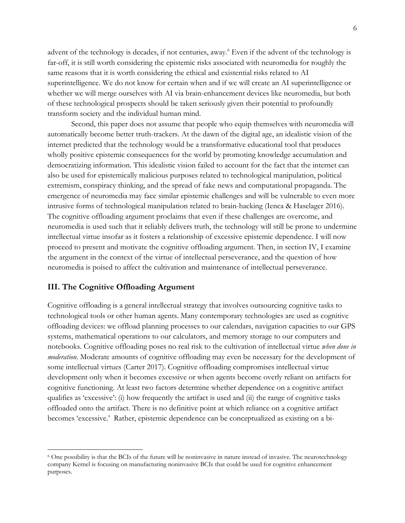advent of the technology is decades, if not centuries, away. <sup>6</sup> Even if the advent of the technology is far-off, it is still worth considering the epistemic risks associated with neuromedia for roughly the same reasons that it is worth considering the ethical and existential risks related to AI superintelligence. We do not know for certain when and if we will create an AI superintelligence or whether we will merge ourselves with AI via brain-enhancement devices like neuromedia, but both of these technological prospects should be taken seriously given their potential to profoundly transform society and the individual human mind.

Second, this paper does not assume that people who equip themselves with neuromedia will automatically become better truth-trackers. At the dawn of the digital age, an idealistic vision of the internet predicted that the technology would be a transformative educational tool that produces wholly positive epistemic consequences for the world by promoting knowledge accumulation and democratizing information. This idealistic vision failed to account for the fact that the internet can also be used for epistemically malicious purposes related to technological manipulation, political extremism, conspiracy thinking, and the spread of fake news and computational propaganda. The emergence of neuromedia may face similar epistemic challenges and will be vulnerable to even more intrusive forms of technological manipulation related to brain-hacking (Ienca & Haselager 2016). The cognitive offloading argument proclaims that even if these challenges are overcome, and neuromedia is used such that it reliably delivers truth, the technology will still be prone to undermine intellectual virtue insofar as it fosters a relationship of excessive epistemic dependence. I will now proceed to present and motivate the cognitive offloading argument. Then, in section IV, I examine the argument in the context of the virtue of intellectual perseverance, and the question of how neuromedia is poised to affect the cultivation and maintenance of intellectual perseverance.

# **III. The Cognitive Offloading Argument**

Cognitive offloading is a general intellectual strategy that involves outsourcing cognitive tasks to technological tools or other human agents. Many contemporary technologies are used as cognitive offloading devices: we offload planning processes to our calendars, navigation capacities to our GPS systems, mathematical operations to our calculators, and memory storage to our computers and notebooks. Cognitive offloading poses no real risk to the cultivation of intellectual virtue *when done in moderation*. Moderate amounts of cognitive offloading may even be necessary for the development of some intellectual virtues (Carter 2017). Cognitive offloading compromises intellectual virtue development only when it becomes excessive or when agents become overly reliant on artifacts for cognitive functioning. At least two factors determine whether dependence on a cognitive artifact qualifies as 'excessive': (i) how frequently the artifact is used and (ii) the range of cognitive tasks offloaded onto the artifact. There is no definitive point at which reliance on a cognitive artifact becomes 'excessive.' Rather, epistemic dependence can be conceptualized as existing on a bi-

<sup>6</sup> One possibility is that the BCIs of the future will be noninvasive in nature instead of invasive. The neurotechnology company Kernel is focusing on manufacturing noninvasive BCIs that could be used for cognitive enhancement purposes.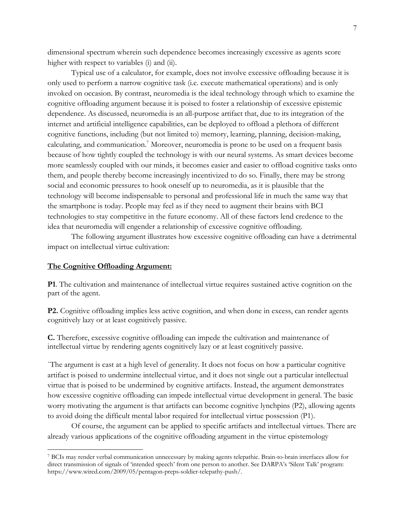dimensional spectrum wherein such dependence becomes increasingly excessive as agents score higher with respect to variables (i) and (ii).

Typical use of a calculator, for example, does not involve excessive offloading because it is only used to perform a narrow cognitive task (i.e. execute mathematical operations) and is only invoked on occasion. By contrast, neuromedia is the ideal technology through which to examine the cognitive offloading argument because it is poised to foster a relationship of excessive epistemic dependence. As discussed, neuromedia is an all-purpose artifact that, due to its integration of the internet and artificial intelligence capabilities, can be deployed to offload a plethora of different cognitive functions, including (but not limited to) memory, learning, planning, decision-making, calculating, and communication.<sup>7</sup> Moreover, neuromedia is prone to be used on a frequent basis because of how tightly coupled the technology is with our neural systems. As smart devices become more seamlessly coupled with our minds, it becomes easier and easier to offload cognitive tasks onto them, and people thereby become increasingly incentivized to do so. Finally, there may be strong social and economic pressures to hook oneself up to neuromedia, as it is plausible that the technology will become indispensable to personal and professional life in much the same way that the smartphone is today. People may feel as if they need to augment their brains with BCI technologies to stay competitive in the future economy. All of these factors lend credence to the idea that neuromedia will engender a relationship of excessive cognitive offloading.

The following argument illustrates how excessive cognitive offloading can have a detrimental impact on intellectual virtue cultivation:

#### **The Cognitive Offloading Argument:**

**P1**. The cultivation and maintenance of intellectual virtue requires sustained active cognition on the part of the agent.

**P2.** Cognitive offloading implies less active cognition, and when done in excess, can render agents cognitively lazy or at least cognitively passive.

**C.** Therefore, excessive cognitive offloading can impede the cultivation and maintenance of intellectual virtue by rendering agents cognitively lazy or at least cognitively passive.

`The argument is cast at a high level of generality. It does not focus on how a particular cognitive artifact is poised to undermine intellectual virtue, and it does not single out a particular intellectual virtue that is poised to be undermined by cognitive artifacts. Instead, the argument demonstrates how excessive cognitive offloading can impede intellectual virtue development in general. The basic worry motivating the argument is that artifacts can become cognitive lynchpins (P2), allowing agents to avoid doing the difficult mental labor required for intellectual virtue possession (P1).

Of course, the argument can be applied to specific artifacts and intellectual virtues. There are already various applications of the cognitive offloading argument in the virtue epistemology

<sup>7</sup> BCIs may render verbal communication unnecessary by making agents telepathic. Brain-to-brain interfaces allow for direct transmission of signals of 'intended speech' from one person to another. See DARPA's 'Silent Talk' program: https://www.wired.com/2009/05/pentagon-preps-soldier-telepathy-push/.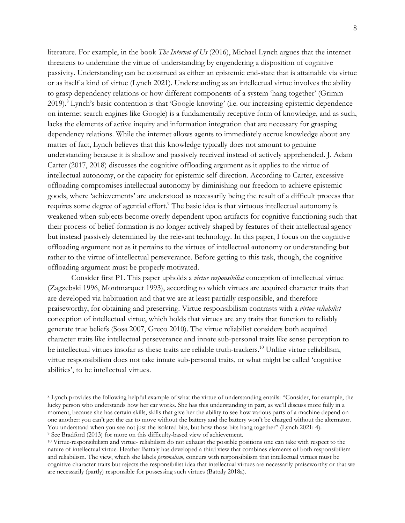literature. For example, in the book *The Internet of Us* (2016), Michael Lynch argues that the internet threatens to undermine the virtue of understanding by engendering a disposition of cognitive passivity. Understanding can be construed as either an epistemic end-state that is attainable via virtue or as itself a kind of virtue (Lynch 2021). Understanding as an intellectual virtue involves the ability to grasp dependency relations or how different components of a system 'hang together' (Grimm 2019).8 Lynch's basic contention is that 'Google-knowing' (i.e. our increasing epistemic dependence on internet search engines like Google) is a fundamentally receptive form of knowledge, and as such, lacks the elements of active inquiry and information integration that are necessary for grasping dependency relations. While the internet allows agents to immediately accrue knowledge about any matter of fact, Lynch believes that this knowledge typically does not amount to genuine understanding because it is shallow and passively received instead of actively apprehended. J. Adam Carter (2017, 2018) discusses the cognitive offloading argument as it applies to the virtue of intellectual autonomy, or the capacity for epistemic self-direction. According to Carter, excessive offloading compromises intellectual autonomy by diminishing our freedom to achieve epistemic goods, where 'achievements' are understood as necessarily being the result of a difficult process that requires some degree of agential effort.<sup>9</sup> The basic idea is that virtuous intellectual autonomy is weakened when subjects become overly dependent upon artifacts for cognitive functioning such that their process of belief-formation is no longer actively shaped by features of their intellectual agency but instead passively determined by the relevant technology. In this paper, I focus on the cognitive offloading argument not as it pertains to the virtues of intellectual autonomy or understanding but rather to the virtue of intellectual perseverance. Before getting to this task, though, the cognitive offloading argument must be properly motivated.

Consider first P1. This paper upholds a *virtue responsibilist* conception of intellectual virtue (Zagzebski 1996, Montmarquet 1993), according to which virtues are acquired character traits that are developed via habituation and that we are at least partially responsible, and therefore praiseworthy, for obtaining and preserving. Virtue responsibilism contrasts with a *virtue reliabilist* conception of intellectual virtue, which holds that virtues are any traits that function to reliably generate true beliefs (Sosa 2007, Greco 2010). The virtue reliabilist considers both acquired character traits like intellectual perseverance and innate sub-personal traits like sense perception to be intellectual virtues insofar as these traits are reliable truth-trackers. <sup>10</sup> Unlike virtue reliabilism, virtue responsibilism does not take innate sub-personal traits, or what might be called 'cognitive abilities', to be intellectual virtues.

<sup>8</sup> Lynch provides the following helpful example of what the virtue of understanding entails: "Consider, for example, the lucky person who understands how her car works. She has this understanding in part, as we'll discuss more fully in a moment, because she has certain skills, skills that give her the ability to see how various parts of a machine depend on one another: you can't get the car to move without the battery and the battery won't be charged without the alternator. You understand when you see not just the isolated bits, but how those bits hang together" (Lynch 2021: 4). <sup>9</sup> See Bradford (2013) for more on this difficulty-based view of achievement.

<sup>10</sup> Virtue-responsibilism and virtue- reliabilism do not exhaust the possible positions one can take with respect to the nature of intellectual virtue. Heather Battaly has developed a third view that combines elements of both responsibilism and reliabilism. The view, which she labels *personalism*, concurs with responsibilism that intellectual virtues must be cognitive character traits but rejects the responsibilist idea that intellectual virtues are necessarily praiseworthy or that we are necessarily (partly) responsible for possessing such virtues (Battaly 2018a).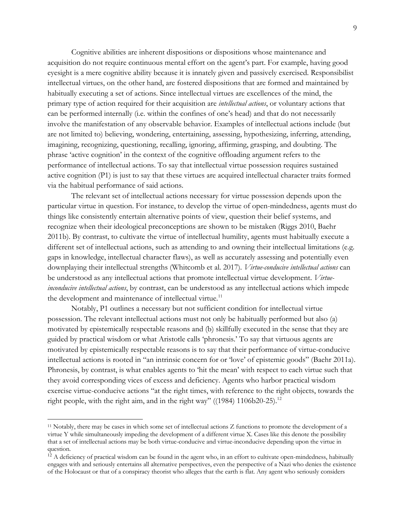Cognitive abilities are inherent dispositions or dispositions whose maintenance and acquisition do not require continuous mental effort on the agent's part. For example, having good eyesight is a mere cognitive ability because it is innately given and passively exercised. Responsibilist intellectual virtues, on the other hand, are fostered dispositions that are formed and maintained by habitually executing a set of actions. Since intellectual virtues are excellences of the mind, the primary type of action required for their acquisition are *intellectual actions*, or voluntary actions that can be performed internally (i.e. within the confines of one's head) and that do not necessarily involve the manifestation of any observable behavior. Examples of intellectual actions include (but are not limited to) believing, wondering, entertaining, assessing, hypothesizing, inferring, attending, imagining, recognizing, questioning, recalling, ignoring, affirming, grasping, and doubting. The phrase 'active cognition' in the context of the cognitive offloading argument refers to the performance of intellectual actions. To say that intellectual virtue possession requires sustained active cognition (P1) is just to say that these virtues are acquired intellectual character traits formed via the habitual performance of said actions.

The relevant set of intellectual actions necessary for virtue possession depends upon the particular virtue in question. For instance, to develop the virtue of open-mindedness, agents must do things like consistently entertain alternative points of view, question their belief systems, and recognize when their ideological preconceptions are shown to be mistaken (Riggs 2010, Baehr 2011b). By contrast, to cultivate the virtue of intellectual humility, agents must habitually execute a different set of intellectual actions, such as attending to and owning their intellectual limitations (e.g. gaps in knowledge, intellectual character flaws), as well as accurately assessing and potentially even downplaying their intellectual strengths (Whitcomb et al. 2017)*. Virtue-conducive intellectual actions* can be understood as any intellectual actions that promote intellectual virtue development. *Virtueinconducive intellectual actions*, by contrast, can be understood as any intellectual actions which impede the development and maintenance of intellectual virtue.<sup>11</sup>

Notably, P1 outlines a necessary but not sufficient condition for intellectual virtue possession. The relevant intellectual actions must not only be habitually performed but also (a) motivated by epistemically respectable reasons and (b) skillfully executed in the sense that they are guided by practical wisdom or what Aristotle calls 'phronesis.' To say that virtuous agents are motivated by epistemically respectable reasons is to say that their performance of virtue-conducive intellectual actions is rooted in "an intrinsic concern for or 'love' of epistemic goods" (Baehr 2011a). Phronesis, by contrast, is what enables agents to 'hit the mean' with respect to each virtue such that they avoid corresponding vices of excess and deficiency. Agents who harbor practical wisdom exercise virtue-conducive actions "at the right times, with reference to the right objects, towards the right people, with the right aim, and in the right way" ( $(1984)$  1106b20-25).<sup>12</sup>

<sup>11</sup> Notably, there may be cases in which some set of intellectual actions Z functions to promote the development of a virtue Y while simultaneously impeding the development of a different virtue X. Cases like this denote the possibility that a set of intellectual actions may be both virtue-conducive and virtue-inconducive depending upon the virtue in question.

 $12$  A deficiency of practical wisdom can be found in the agent who, in an effort to cultivate open-mindedness, habitually engages with and seriously entertains all alternative perspectives, even the perspective of a Nazi who denies the existence of the Holocaust or that of a conspiracy theorist who alleges that the earth is flat. Any agent who seriously considers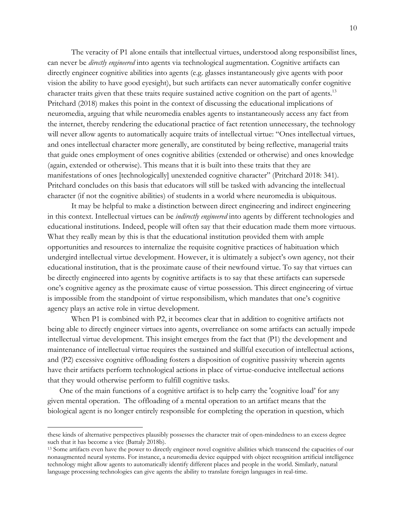The veracity of P1 alone entails that intellectual virtues, understood along responsibilist lines, can never be *directly engineered* into agents via technological augmentation. Cognitive artifacts can directly engineer cognitive abilities into agents (e.g. glasses instantaneously give agents with poor vision the ability to have good eyesight), but such artifacts can never automatically confer cognitive character traits given that these traits require sustained active cognition on the part of agents.<sup>13</sup> Pritchard (2018) makes this point in the context of discussing the educational implications of neuromedia, arguing that while neuromedia enables agents to instantaneously access any fact from the internet, thereby rendering the educational practice of fact retention unnecessary, the technology will never allow agents to automatically acquire traits of intellectual virtue: "Ones intellectual virtues, and ones intellectual character more generally, are constituted by being reflective, managerial traits that guide ones employment of ones cognitive abilities (extended or otherwise) and ones knowledge (again, extended or otherwise). This means that it is built into these traits that they are manifestations of ones [technologically] unextended cognitive character" (Pritchard 2018: 341). Pritchard concludes on this basis that educators will still be tasked with advancing the intellectual character (if not the cognitive abilities) of students in a world where neuromedia is ubiquitous.

It may be helpful to make a distinction between direct engineering and indirect engineering in this context. Intellectual virtues can be *indirectly engineered* into agents by different technologies and educational institutions. Indeed, people will often say that their education made them more virtuous. What they really mean by this is that the educational institution provided them with ample opportunities and resources to internalize the requisite cognitive practices of habituation which undergird intellectual virtue development. However, it is ultimately a subject's own agency, not their educational institution, that is the proximate cause of their newfound virtue. To say that virtues can be directly engineered into agents by cognitive artifacts is to say that these artifacts can supersede one's cognitive agency as the proximate cause of virtue possession. This direct engineering of virtue is impossible from the standpoint of virtue responsibilism, which mandates that one's cognitive agency plays an active role in virtue development.

When P1 is combined with P2, it becomes clear that in addition to cognitive artifacts not being able to directly engineer virtues into agents, overreliance on some artifacts can actually impede intellectual virtue development. This insight emerges from the fact that (P1) the development and maintenance of intellectual virtue requires the sustained and skillful execution of intellectual actions, and (P2) excessive cognitive offloading fosters a disposition of cognitive passivity wherein agents have their artifacts perform technological actions in place of virtue-conducive intellectual actions that they would otherwise perform to fulfill cognitive tasks.

One of the main functions of a cognitive artifact is to help carry the 'cognitive load' for any given mental operation. The offloading of a mental operation to an artifact means that the biological agent is no longer entirely responsible for completing the operation in question, which

these kinds of alternative perspectives plausibly possesses the character trait of open-mindedness to an excess degree such that it has become a vice (Battaly 2018b).

<sup>13</sup> Some artifacts even have the power to directly engineer novel cognitive abilities which transcend the capacities of our nonaugmented neural systems. For instance, a neuromedia device equipped with object recognition artificial intelligence technology might allow agents to automatically identify different places and people in the world. Similarly, natural language processing technologies can give agents the ability to translate foreign languages in real-time.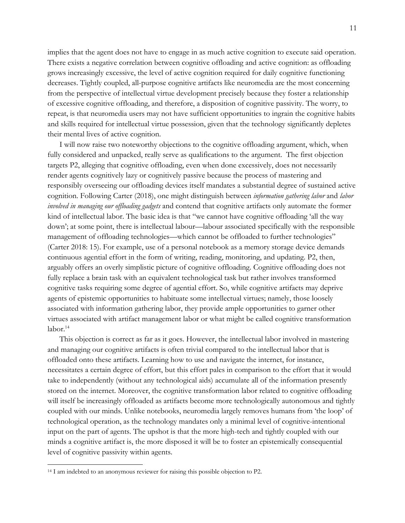implies that the agent does not have to engage in as much active cognition to execute said operation. There exists a negative correlation between cognitive offloading and active cognition: as offloading grows increasingly excessive, the level of active cognition required for daily cognitive functioning decreases. Tightly coupled, all-purpose cognitive artifacts like neuromedia are the most concerning from the perspective of intellectual virtue development precisely because they foster a relationship of excessive cognitive offloading, and therefore, a disposition of cognitive passivity. The worry, to repeat, is that neuromedia users may not have sufficient opportunities to ingrain the cognitive habits and skills required for intellectual virtue possession, given that the technology significantly depletes their mental lives of active cognition.

I will now raise two noteworthy objections to the cognitive offloading argument, which, when fully considered and unpacked, really serve as qualifications to the argument. The first objection targets P2, alleging that cognitive offloading, even when done excessively, does not necessarily render agents cognitively lazy or cognitively passive because the process of mastering and responsibly overseeing our offloading devices itself mandates a substantial degree of sustained active cognition. Following Carter (2018), one might distinguish between *information gathering labor* and *labor involved in managing our offloading gadgets* and contend that cognitive artifacts only automate the former kind of intellectual labor. The basic idea is that "we cannot have cognitive offloading 'all the way down'; at some point, there is intellectual labour—labour associated specifically with the responsible management of offloading technologies—which cannot be offloaded to further technologies" (Carter 2018: 15). For example, use of a personal notebook as a memory storage device demands continuous agential effort in the form of writing, reading, monitoring, and updating. P2, then, arguably offers an overly simplistic picture of cognitive offloading. Cognitive offloading does not fully replace a brain task with an equivalent technological task but rather involves transformed cognitive tasks requiring some degree of agential effort. So, while cognitive artifacts may deprive agents of epistemic opportunities to habituate some intellectual virtues; namely, those loosely associated with information gathering labor, they provide ample opportunities to garner other virtues associated with artifact management labor or what might be called cognitive transformation labor. 14

This objection is correct as far as it goes. However, the intellectual labor involved in mastering and managing our cognitive artifacts is often trivial compared to the intellectual labor that is offloaded onto these artifacts. Learning how to use and navigate the internet, for instance, necessitates a certain degree of effort, but this effort pales in comparison to the effort that it would take to independently (without any technological aids) accumulate all of the information presently stored on the internet. Moreover, the cognitive transformation labor related to cognitive offloading will itself be increasingly offloaded as artifacts become more technologically autonomous and tightly coupled with our minds. Unlike notebooks, neuromedia largely removes humans from 'the loop' of technological operation, as the technology mandates only a minimal level of cognitive-intentional input on the part of agents. The upshot is that the more high-tech and tightly coupled with our minds a cognitive artifact is, the more disposed it will be to foster an epistemically consequential level of cognitive passivity within agents.

<sup>14</sup> I am indebted to an anonymous reviewer for raising this possible objection to P2.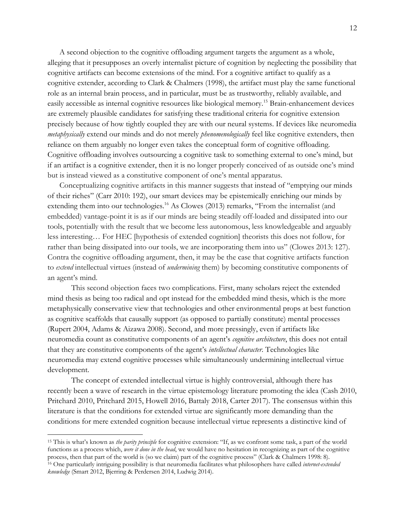A second objection to the cognitive offloading argument targets the argument as a whole, alleging that it presupposes an overly internalist picture of cognition by neglecting the possibility that cognitive artifacts can become extensions of the mind. For a cognitive artifact to qualify as a cognitive extender, according to Clark & Chalmers (1998), the artifact must play the same functional role as an internal brain process, and in particular, must be as trustworthy, reliably available, and easily accessible as internal cognitive resources like biological memory. <sup>15</sup> Brain-enhancement devices are extremely plausible candidates for satisfying these traditional criteria for cognitive extension precisely because of how tightly coupled they are with our neural systems. If devices like neuromedia *metaphysically* extend our minds and do not merely *phenomenologically* feel like cognitive extenders, then reliance on them arguably no longer even takes the conceptual form of cognitive offloading. Cognitive offloading involves outsourcing a cognitive task to something external to one's mind, but if an artifact is a cognitive extender, then it is no longer properly conceived of as outside one's mind but is instead viewed as a constitutive component of one's mental apparatus.

Conceptualizing cognitive artifacts in this manner suggests that instead of "emptying our minds of their riches" (Carr 2010: 192), our smart devices may be epistemically enriching our minds by extending them into our technologies.<sup>16</sup> As Clowes (2013) remarks, "From the internalist (and embedded) vantage-point it is as if our minds are being steadily off-loaded and dissipated into our tools, potentially with the result that we become less autonomous, less knowledgeable and arguably less interesting… For HEC [hypothesis of extended cognition] theorists this does not follow, for rather than being dissipated into our tools, we are incorporating them into us" (Clowes 2013: 127). Contra the cognitive offloading argument, then, it may be the case that cognitive artifacts function to *extend* intellectual virtues (instead of *undermining* them) by becoming constitutive components of an agent's mind.

This second objection faces two complications. First, many scholars reject the extended mind thesis as being too radical and opt instead for the embedded mind thesis, which is the more metaphysically conservative view that technologies and other environmental props at best function as cognitive scaffolds that causally support (as opposed to partially constitute) mental processes (Rupert 2004, Adams & Aizawa 2008). Second, and more pressingly, even if artifacts like neuromedia count as constitutive components of an agent's *cognitive architecture*, this does not entail that they are constitutive components of the agent's *intellectual character*. Technologies like neuromedia may extend cognitive processes while simultaneously undermining intellectual virtue development.

The concept of extended intellectual virtue is highly controversial, although there has recently been a wave of research in the virtue epistemology literature promoting the idea (Cash 2010, Pritchard 2010, Pritchard 2015, Howell 2016, Battaly 2018, Carter 2017). The consensus within this literature is that the conditions for extended virtue are significantly more demanding than the conditions for mere extended cognition because intellectual virtue represents a distinctive kind of

<sup>15</sup> This is what's known as *the parity principle* for cognitive extension: "If, as we confront some task, a part of the world functions as a process which, *were it done in the head*, we would have no hesitation in recognizing as part of the cognitive process, then that part of the world is (so we claim) part of the cognitive process" (Clark & Chalmers 1998: 8). <sup>16</sup> One particularly intriguing possibility is that neuromedia facilitates what philosophers have called *internet-extended knowledge* (Smart 2012, Bjerring & Perdersen 2014, Ludwig 2014).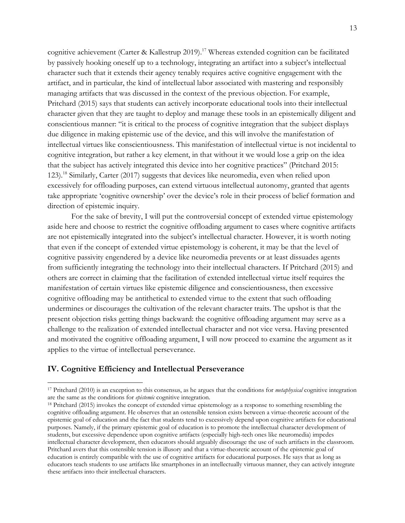cognitive achievement (Carter & Kallestrup 2019).17 Whereas extended cognition can be facilitated by passively hooking oneself up to a technology, integrating an artifact into a subject's intellectual character such that it extends their agency tenably requires active cognitive engagement with the artifact, and in particular, the kind of intellectual labor associated with mastering and responsibly managing artifacts that was discussed in the context of the previous objection. For example, Pritchard (2015) says that students can actively incorporate educational tools into their intellectual character given that they are taught to deploy and manage these tools in an epistemically diligent and conscientious manner: "it is critical to the process of cognitive integration that the subject displays due diligence in making epistemic use of the device, and this will involve the manifestation of intellectual virtues like conscientiousness. This manifestation of intellectual virtue is not incidental to cognitive integration, but rather a key element, in that without it we would lose a grip on the idea that the subject has actively integrated this device into her cognitive practices" (Pritchard 2015: 123).18 Similarly, Carter (2017) suggests that devices like neuromedia, even when relied upon excessively for offloading purposes, can extend virtuous intellectual autonomy, granted that agents take appropriate 'cognitive ownership' over the device's role in their process of belief formation and direction of epistemic inquiry.

For the sake of brevity, I will put the controversial concept of extended virtue epistemology aside here and choose to restrict the cognitive offloading argument to cases where cognitive artifacts are not epistemically integrated into the subject's intellectual character. However, it is worth noting that even if the concept of extended virtue epistemology is coherent, it may be that the level of cognitive passivity engendered by a device like neuromedia prevents or at least dissuades agents from sufficiently integrating the technology into their intellectual characters. If Pritchard (2015) and others are correct in claiming that the facilitation of extended intellectual virtue itself requires the manifestation of certain virtues like epistemic diligence and conscientiousness, then excessive cognitive offloading may be antithetical to extended virtue to the extent that such offloading undermines or discourages the cultivation of the relevant character traits. The upshot is that the present objection risks getting things backward: the cognitive offloading argument may serve as a challenge to the realization of extended intellectual character and not vice versa. Having presented and motivated the cognitive offloading argument, I will now proceed to examine the argument as it applies to the virtue of intellectual perseverance.

## **IV. Cognitive Efficiency and Intellectual Perseverance**

<sup>17</sup> Pritchard (2010) is an exception to this consensus, as he argues that the conditions for *metaphysical* cognitive integration are the same as the conditions for *epistemic* cognitive integration. 18 Pritchard (2015) invokes the concept of extended virtue epistemology as a response to something resembling the

cognitive offloading argument. He observes that an ostensible tension exists between a virtue-theoretic account of the epistemic goal of education and the fact that students tend to excessively depend upon cognitive artifacts for educational purposes. Namely, if the primary epistemic goal of education is to promote the intellectual character development of students, but excessive dependence upon cognitive artifacts (especially high-tech ones like neuromedia) impedes intellectual character development, then educators should arguably discourage the use of such artifacts in the classroom. Pritchard avers that this ostensible tension is illusory and that a virtue-theoretic account of the epistemic goal of education is entirely compatible with the use of cognitive artifacts for educational purposes. He says that as long as educators teach students to use artifacts like smartphones in an intellectually virtuous manner, they can actively integrate these artifacts into their intellectual characters.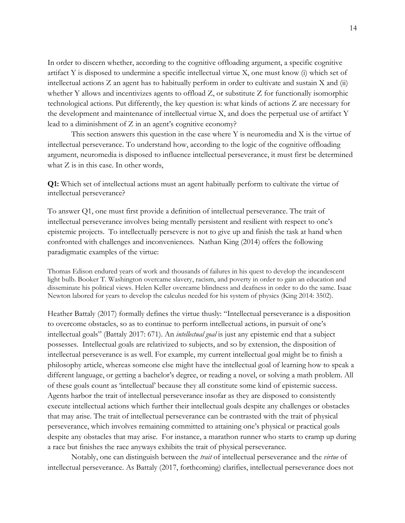In order to discern whether, according to the cognitive offloading argument, a specific cognitive artifact Y is disposed to undermine a specific intellectual virtue X, one must know (i) which set of intellectual actions Z an agent has to habitually perform in order to cultivate and sustain X and (ii) whether Y allows and incentivizes agents to offload Z, or substitute Z for functionally isomorphic technological actions. Put differently, the key question is: what kinds of actions Z are necessary for the development and maintenance of intellectual virtue X, and does the perpetual use of artifact Y lead to a diminishment of Z in an agent's cognitive economy?

This section answers this question in the case where Y is neuromedia and X is the virtue of intellectual perseverance. To understand how, according to the logic of the cognitive offloading argument, neuromedia is disposed to influence intellectual perseverance, it must first be determined what  $Z$  is in this case. In other words,

**Q1:** Which set of intellectual actions must an agent habitually perform to cultivate the virtue of intellectual perseverance?

To answer Q1, one must first provide a definition of intellectual perseverance. The trait of intellectual perseverance involves being mentally persistent and resilient with respect to one's epistemic projects. To intellectually persevere is not to give up and finish the task at hand when confronted with challenges and inconveniences. Nathan King (2014) offers the following paradigmatic examples of the virtue:

Thomas Edison endured years of work and thousands of failures in his quest to develop the incandescent light bulb. Booker T. Washington overcame slavery, racism, and poverty in order to gain an education and disseminate his political views. Helen Keller overcame blindness and deafness in order to do the same. Isaac Newton labored for years to develop the calculus needed for his system of physics (King 2014: 3502).

Heather Battaly (2017) formally defines the virtue thusly: "Intellectual perseverance is a disposition to overcome obstacles, so as to continue to perform intellectual actions, in pursuit of one's intellectual goals" (Battaly 2017: 671). An *intellectual goal* is just any epistemic end that a subject possesses. Intellectual goals are relativized to subjects, and so by extension, the disposition of intellectual perseverance is as well. For example, my current intellectual goal might be to finish a philosophy article, whereas someone else might have the intellectual goal of learning how to speak a different language, or getting a bachelor's degree, or reading a novel, or solving a math problem. All of these goals count as 'intellectual' because they all constitute some kind of epistemic success. Agents harbor the trait of intellectual perseverance insofar as they are disposed to consistently execute intellectual actions which further their intellectual goals despite any challenges or obstacles that may arise. The trait of intellectual perseverance can be contrasted with the trait of physical perseverance, which involves remaining committed to attaining one's physical or practical goals despite any obstacles that may arise. For instance, a marathon runner who starts to cramp up during a race but finishes the race anyways exhibits the trait of physical perseverance.

Notably, one can distinguish between the *trait* of intellectual perseverance and the *virtue* of intellectual perseverance. As Battaly (2017, forthcoming) clarifies, intellectual perseverance does not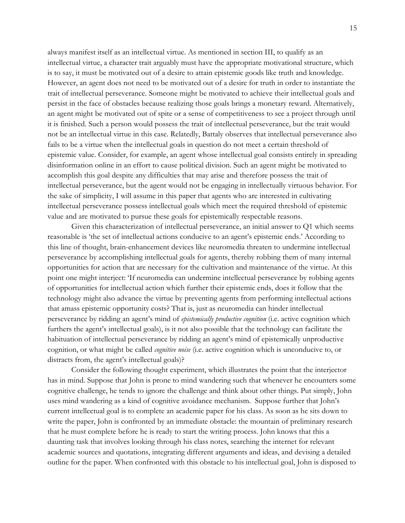always manifest itself as an intellectual virtue. As mentioned in section III, to qualify as an intellectual virtue, a character trait arguably must have the appropriate motivational structure, which is to say, it must be motivated out of a desire to attain epistemic goods like truth and knowledge. However, an agent does not need to be motivated out of a desire for truth in order to instantiate the trait of intellectual perseverance. Someone might be motivated to achieve their intellectual goals and persist in the face of obstacles because realizing those goals brings a monetary reward. Alternatively, an agent might be motivated out of spite or a sense of competitiveness to see a project through until it is finished. Such a person would possess the trait of intellectual perseverance, but the trait would not be an intellectual virtue in this case. Relatedly, Battaly observes that intellectual perseverance also fails to be a virtue when the intellectual goals in question do not meet a certain threshold of epistemic value. Consider, for example, an agent whose intellectual goal consists entirely in spreading disinformation online in an effort to cause political division. Such an agent might be motivated to accomplish this goal despite any difficulties that may arise and therefore possess the trait of intellectual perseverance, but the agent would not be engaging in intellectually virtuous behavior. For the sake of simplicity, I will assume in this paper that agents who are interested in cultivating intellectual perseverance possess intellectual goals which meet the required threshold of epistemic value and are motivated to pursue these goals for epistemically respectable reasons.

Given this characterization of intellectual perseverance, an initial answer to Q1 which seems reasonable is 'the set of intellectual actions conducive to an agent's epistemic ends.' According to this line of thought, brain-enhancement devices like neuromedia threaten to undermine intellectual perseverance by accomplishing intellectual goals for agents, thereby robbing them of many internal opportunities for action that are necessary for the cultivation and maintenance of the virtue. At this point one might interject: 'If neuromedia can undermine intellectual perseverance by robbing agents of opportunities for intellectual action which further their epistemic ends, does it follow that the technology might also advance the virtue by preventing agents from performing intellectual actions that amass epistemic opportunity costs? That is, just as neuromedia can hinder intellectual perseverance by ridding an agent's mind of *epistemically productive cognition* (i.e. active cognition which furthers the agent's intellectual goals), is it not also possible that the technology can facilitate the habituation of intellectual perseverance by ridding an agent's mind of epistemically unproductive cognition, or what might be called *cognitive noise* (i.e. active cognition which is unconducive to, or distracts from, the agent's intellectual goals)?

Consider the following thought experiment, which illustrates the point that the interjector has in mind. Suppose that John is prone to mind wandering such that whenever he encounters some cognitive challenge, he tends to ignore the challenge and think about other things. Put simply, John uses mind wandering as a kind of cognitive avoidance mechanism. Suppose further that John's current intellectual goal is to complete an academic paper for his class. As soon as he sits down to write the paper, John is confronted by an immediate obstacle: the mountain of preliminary research that he must complete before he is ready to start the writing process. John knows that this a daunting task that involves looking through his class notes, searching the internet for relevant academic sources and quotations, integrating different arguments and ideas, and devising a detailed outline for the paper. When confronted with this obstacle to his intellectual goal, John is disposed to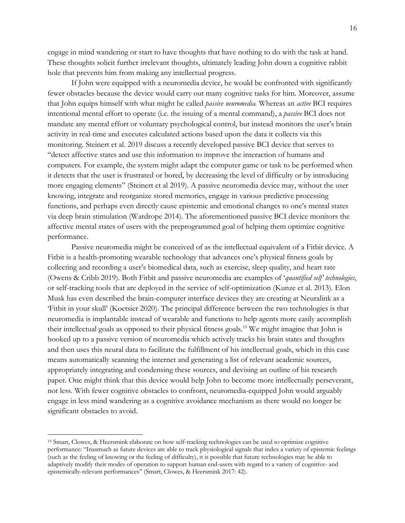engage in mind wandering or start to have thoughts that have nothing to do with the task at hand. These thoughts solicit further irrelevant thoughts, ultimately leading John down a cognitive rabbit hole that prevents him from making any intellectual progress.

If John were equipped with a neuromedia device, he would be confronted with significantly fewer obstacles because the device would carry out many cognitive tasks for him. Moreover, assume that John equips himself with what might be called *passive neuromedia.* Whereas an *active* BCI requires intentional mental effort to operate (i.e. the issuing of a mental command), a *passive* BCI does not mandate any mental effort or voluntary psychological control, but instead monitors the user's brain activity in real-time and executes calculated actions based upon the data it collects via this monitoring. Steinert et al. 2019 discuss a recently developed passive BCI device that serves to "detect affective states and use this information to improve the interaction of humans and computers. For example, the system might adapt the computer game or task to be performed when it detects that the user is frustrated or bored, by decreasing the level of difficulty or by introducing more engaging elements" (Steinert et al 2019). A passive neuromedia device may, without the user knowing, integrate and reorganize stored memories, engage in various predictive processing functions, and perhaps even directly cause epistemic and emotional changes to one's mental states via deep brain stimulation (Wardrope 2014). The aforementioned passive BCI device monitors the affective mental states of users with the preprogrammed goal of helping them optimize cognitive performance.

Passive neuromedia might be conceived of as the intellectual equivalent of a Fitbit device. A Fitbit is a health-promoting wearable technology that advances one's physical fitness goals by collecting and recording a user's biomedical data, such as exercise, sleep quality, and heart rate (Owens & Cribb 2019). Both Fitbit and passive neuromedia are examples of '*quantified self' technologies*, or self-tracking tools that are deployed in the service of self-optimization (Kunze et al. 2013). Elon Musk has even described the brain-computer interface devices they are creating at Neuralink as a 'Fitbit in your skull' (Koetsier 2020). The principal difference between the two technologies is that neuromedia is implantable instead of wearable and functions to help agents more easily accomplish their intellectual goals as opposed to their physical fitness goals.19 We might imagine that John is hooked up to a passive version of neuromedia which actively tracks his brain states and thoughts and then uses this neural data to facilitate the fulfillment of his intellectual goals, which in this case means automatically scanning the internet and generating a list of relevant academic sources, appropriately integrating and condensing these sources, and devising an outline of his research paper. One might think that this device would help John to become more intellectually perseverant, not less. With fewer cognitive obstacles to confront, neuromedia-equipped John would arguably engage in less mind wandering as a cognitive avoidance mechanism as there would no longer be significant obstacles to avoid.

<sup>19</sup> Smart, Clowes, & Heersmink elaborate on how self-tracking technologies can be used to optimize cognitive performance: "Inasmuch as future devices are able to track physiological signals that index a variety of epistemic feelings (such as the feeling of knowing or the feeling of difficulty), it is possible that future technologies may be able to adaptively modify their modes of operation to support human end-users with regard to a variety of cognitive- and epistemically-relevant performances" (Smart, Clowes, & Heersmink 2017: 42).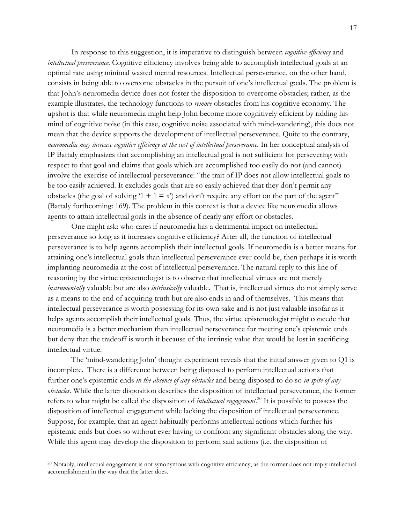In response to this suggestion, it is imperative to distinguish between *cognitive efficiency* and *intellectual perseverance*. Cognitive efficiency involves being able to accomplish intellectual goals at an optimal rate using minimal wasted mental resources. Intellectual perseverance, on the other hand, consists in being able to overcome obstacles in the pursuit of one's intellectual goals. The problem is that John's neuromedia device does not foster the disposition to overcome obstacles; rather, as the example illustrates, the technology functions to *remove* obstacles from his cognitive economy. The upshot is that while neuromedia might help John become more cognitively efficient by ridding his mind of cognitive noise (in this case, cognitive noise associated with mind-wandering), this does not mean that the device supports the development of intellectual perseverance. Quite to the contrary, *neuromedia may increase cognitive efficiency at the cost of intellectual perseverance.* In her conceptual analysis of IP Battaly emphasizes that accomplishing an intellectual goal is not sufficient for persevering with respect to that goal and claims that goals which are accomplished too easily do not (and cannot) involve the exercise of intellectual perseverance: "the trait of IP does not allow intellectual goals to be too easily achieved. It excludes goals that are so easily achieved that they don't permit any obstacles (the goal of solving '1 + 1 = x') and don't require any effort on the part of the agent" (Battaly forthcoming: 169). The problem in this context is that a device like neuromedia allows agents to attain intellectual goals in the absence of nearly any effort or obstacles.

One might ask: who cares if neuromedia has a detrimental impact on intellectual perseverance so long as it increases cognitive efficiency? After all, the function of intellectual perseverance is to help agents accomplish their intellectual goals. If neuromedia is a better means for attaining one's intellectual goals than intellectual perseverance ever could be, then perhaps it is worth implanting neuromedia at the cost of intellectual perseverance. The natural reply to this line of reasoning by the virtue epistemologist is to observe that intellectual virtues are not merely *instrumentally* valuable but are also *intrinsically* valuable. That is, intellectual virtues do not simply serve as a means to the end of acquiring truth but are also ends in and of themselves. This means that intellectual perseverance is worth possessing for its own sake and is not just valuable insofar as it helps agents accomplish their intellectual goals. Thus, the virtue epistemologist might concede that neuromedia is a better mechanism than intellectual perseverance for meeting one's epistemic ends but deny that the tradeoff is worth it because of the intrinsic value that would be lost in sacrificing intellectual virtue.

The 'mind-wandering John' thought experiment reveals that the initial answer given to Q1 is incomplete. There is a difference between being disposed to perform intellectual actions that further one's epistemic ends *in the absence of any obstacles* and being disposed to do so *in spite of any obstacles.* While the latter disposition describes the disposition of intellectual perseverance, the former refers to what might be called the disposition of *intellectual engagement*. <sup>20</sup> It is possible to possess the disposition of intellectual engagement while lacking the disposition of intellectual perseverance. Suppose, for example, that an agent habitually performs intellectual actions which further his epistemic ends but does so without ever having to confront any significant obstacles along the way. While this agent may develop the disposition to perform said actions (i.e. the disposition of

<sup>20</sup> Notably, intellectual engagement is not synonymous with cognitive efficiency, as the former does not imply intellectual accomplishment in the way that the latter does.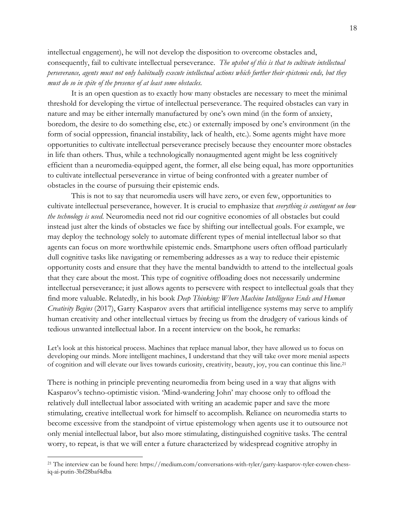intellectual engagement), he will not develop the disposition to overcome obstacles and, consequently, fail to cultivate intellectual perseverance. *The upshot of this is that to cultivate intellectual perseverance, agents must not only habitually execute intellectual actions which further their epistemic ends, but they must do so in spite of the presence of at least some obstacles.*

It is an open question as to exactly how many obstacles are necessary to meet the minimal threshold for developing the virtue of intellectual perseverance. The required obstacles can vary in nature and may be either internally manufactured by one's own mind (in the form of anxiety, boredom, the desire to do something else, etc.) or externally imposed by one's environment (in the form of social oppression, financial instability, lack of health, etc.). Some agents might have more opportunities to cultivate intellectual perseverance precisely because they encounter more obstacles in life than others. Thus, while a technologically nonaugmented agent might be less cognitively efficient than a neuromedia-equipped agent, the former, all else being equal, has more opportunities to cultivate intellectual perseverance in virtue of being confronted with a greater number of obstacles in the course of pursuing their epistemic ends.

This is not to say that neuromedia users will have zero, or even few, opportunities to cultivate intellectual perseverance, however. It is crucial to emphasize that *everything is contingent on how the technology is used*. Neuromedia need not rid our cognitive economies of all obstacles but could instead just alter the kinds of obstacles we face by shifting our intellectual goals. For example, we may deploy the technology solely to automate different types of menial intellectual labor so that agents can focus on more worthwhile epistemic ends. Smartphone users often offload particularly dull cognitive tasks like navigating or remembering addresses as a way to reduce their epistemic opportunity costs and ensure that they have the mental bandwidth to attend to the intellectual goals that they care about the most. This type of cognitive offloading does not necessarily undermine intellectual perseverance; it just allows agents to persevere with respect to intellectual goals that they find more valuable. Relatedly, in his book *Deep Thinking: Where Machine Intelligence Ends and Human Creativity Begins* (2017), Garry Kasparov avers that artificial intelligence systems may serve to amplify human creativity and other intellectual virtues by freeing us from the drudgery of various kinds of tedious unwanted intellectual labor. In a recent interview on the book, he remarks:

Let's look at this historical process. Machines that replace manual labor, they have allowed us to focus on developing our minds. More intelligent machines, I understand that they will take over more menial aspects of cognition and will elevate our lives towards curiosity, creativity, beauty, joy, you can continue this line. 21

There is nothing in principle preventing neuromedia from being used in a way that aligns with Kasparov's techno-optimistic vision. 'Mind-wandering John' may choose only to offload the relatively dull intellectual labor associated with writing an academic paper and save the more stimulating, creative intellectual work for himself to accomplish. Reliance on neuromedia starts to become excessive from the standpoint of virtue epistemology when agents use it to outsource not only menial intellectual labor, but also more stimulating, distinguished cognitive tasks. The central worry, to repeat, is that we will enter a future characterized by widespread cognitive atrophy in

<sup>21</sup> The interview can be found here: https://medium.com/conversations-with-tyler/garry-kasparov-tyler-cowen-chessiq-ai-putin-3bf28baf4dba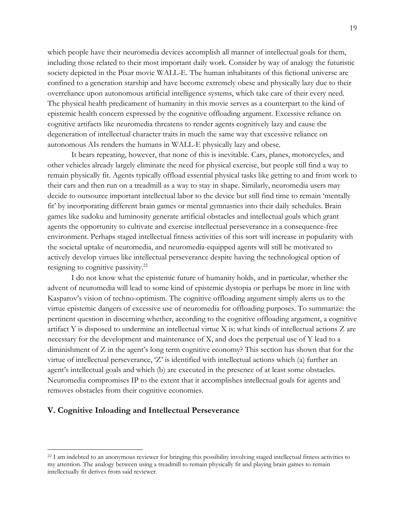which people have their neuromedia devices accomplish all manner of intellectual goals for them, including those related to their most important daily work. Consider by way of analogy the futuristic society depicted in the Pixar movie WALL-E. The human inhabitants of this fictional universe are confined to a generation starship and have become extremely obese and physically lazy due to their overreliance upon autonomous artificial intelligence systems, which take care of their every need. The physical health predicament of humanity in this movie serves as a counterpart to the kind of epistemic health concern expressed by the cognitive offloading argument. Excessive reliance on cognitive artifacts like neuromedia threatens to render agents cognitively lazy and cause the degeneration of intellectual character traits in much the same way that excessive reliance on autonomous AIs renders the humans in WALL-E physically lazy and obese.

It bears repeating, however, that none of this is inevitable. Cars, planes, motorcycles, and other vehicles already largely eliminate the need for physical exercise, but people still find a way to remain physically fit. Agents typically offload essential physical tasks like getting to and from work to their cars and then run on a treadmill as a way to stay in shape. Similarly, neuromedia users may decide to outsource important intellectual labor to the device but still find time to remain 'mentally fit' by incorporating different brain games or mental gymnastics into their daily schedules. Brain games like sudoku and luminosity generate artificial obstacles and intellectual goals which grant agents the opportunity to cultivate and exercise intellectual perseverance in a consequence-free environment. Perhaps staged intellectual fitness activities of this sort will increase in popularity with the societal uptake of neuromedia, and neuromedia-equipped agents will still be motivated to actively develop virtues like intellectual perseverance despite having the technological option of resigning to cognitive passivity.<sup>22</sup>

I do not know what the epistemic future of humanity holds, and in particular, whether the advent of neuromedia will lead to some kind of epistemic dystopia or perhaps be more in line with Kasparov's vision of techno-optimism. The cognitive offloading argument simply alerts us to the virtue epistemic dangers of excessive use of neuromedia for offloading purposes. To summarize: the pertinent question in discerning whether, according to the cognitive offloading argument, a cognitive artifact Y is disposed to undermine an intellectual virtue X is: what kinds of intellectual actions Z are necessary for the development and maintenance of X, and does the perpetual use of Y lead to a diminishment of Z in the agent's long term cognitive economy? This section has shown that for the virtue of intellectual perseverance, 'Z' is identified with intellectual actions which (a) further an agent's intellectual goals and which (b) are executed in the presence of at least some obstacles. Neuromedia compromises IP to the extent that it accomplishes intellectual goals for agents and removes obstacles from their cognitive economies.

# **V. Cognitive Inloading and Intellectual Perseverance**

<sup>&</sup>lt;sup>22</sup> I am indebted to an anonymous reviewer for bringing this possibility involving staged intellectual fitness activities to my attention. The analogy between using a treadmill to remain physically fit and playing brain games to remain intellectually fit derives from said reviewer.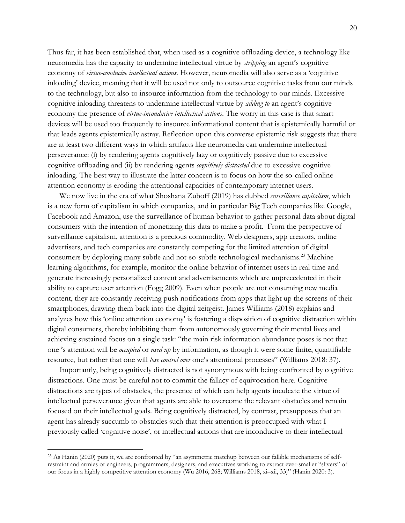Thus far, it has been established that, when used as a cognitive offloading device, a technology like neuromedia has the capacity to undermine intellectual virtue by *stripping* an agent's cognitive economy of *virtue-conducive intellectual actions*. However, neuromedia will also serve as a 'cognitive inloading' device, meaning that it will be used not only to outsource cognitive tasks from our minds to the technology, but also to insource information from the technology to our minds. Excessive cognitive inloading threatens to undermine intellectual virtue by *adding to* an agent's cognitive economy the presence of *virtue-inconducive intellectual actions*. The worry in this case is that smart devices will be used too frequently to insource informational content that is epistemically harmful or that leads agents epistemically astray. Reflection upon this converse epistemic risk suggests that there are at least two different ways in which artifacts like neuromedia can undermine intellectual perseverance: (i) by rendering agents cognitively lazy or cognitively passive due to excessive cognitive offloading and (ii) by rendering agents *cognitively distracted* due to excessive cognitive inloading. The best way to illustrate the latter concern is to focus on how the so-called online attention economy is eroding the attentional capacities of contemporary internet users.

We now live in the era of what Shoshana Zuboff (2019) has dubbed *surveillance capitalism*, which is a new form of capitalism in which companies, and in particular Big Tech companies like Google, Facebook and Amazon, use the surveillance of human behavior to gather personal data about digital consumers with the intention of monetizing this data to make a profit. From the perspective of surveillance capitalism, attention is a precious commodity. Web designers, app creators, online advertisers, and tech companies are constantly competing for the limited attention of digital consumers by deploying many subtle and not-so-subtle technological mechanisms. <sup>23</sup> Machine learning algorithms, for example, monitor the online behavior of internet users in real time and generate increasingly personalized content and advertisements which are unprecedented in their ability to capture user attention (Fogg 2009). Even when people are not consuming new media content, they are constantly receiving push notifications from apps that light up the screens of their smartphones, drawing them back into the digital zeitgeist. James Williams (2018) explains and analyzes how this 'online attention economy' is fostering a disposition of cognitive distraction within digital consumers, thereby inhibiting them from autonomously governing their mental lives and achieving sustained focus on a single task: "the main risk information abundance poses is not that one 's attention will be *occupied* or *used up* by information, as though it were some finite, quantifiable resource, but rather that one will *lose control over* one's attentional processes" (Williams 2018: 37).

Importantly, being cognitively distracted is not synonymous with being confronted by cognitive distractions. One must be careful not to commit the fallacy of equivocation here. Cognitive distractions are types of obstacles, the presence of which can help agents inculcate the virtue of intellectual perseverance given that agents are able to overcome the relevant obstacles and remain focused on their intellectual goals. Being cognitively distracted, by contrast, presupposes that an agent has already succumb to obstacles such that their attention is preoccupied with what I previously called 'cognitive noise', or intellectual actions that are inconducive to their intellectual

<sup>23</sup> As Hanin (2020) puts it, we are confronted by "an asymmetric matchup between our fallible mechanisms of selfrestraint and armies of engineers, programmers, designers, and executives working to extract ever-smaller "slivers" of our focus in a highly competitive attention economy (Wu 2016, 268; Williams 2018, xi–xii, 33)" (Hanin 2020: 3).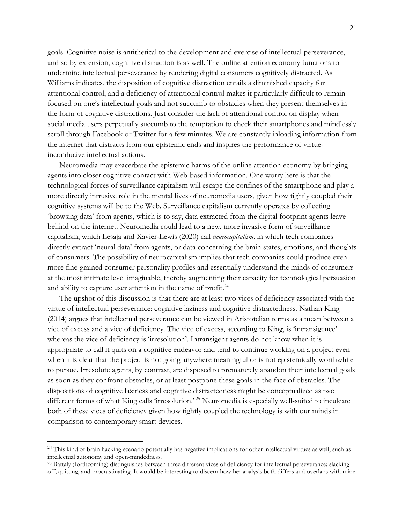goals. Cognitive noise is antithetical to the development and exercise of intellectual perseverance, and so by extension, cognitive distraction is as well. The online attention economy functions to undermine intellectual perseverance by rendering digital consumers cognitively distracted. As Williams indicates, the disposition of cognitive distraction entails a diminished capacity for attentional control, and a deficiency of attentional control makes it particularly difficult to remain focused on one's intellectual goals and not succumb to obstacles when they present themselves in the form of cognitive distractions. Just consider the lack of attentional control on display when social media users perpetually succumb to the temptation to check their smartphones and mindlessly scroll through Facebook or Twitter for a few minutes. We are constantly inloading information from the internet that distracts from our epistemic ends and inspires the performance of virtueinconducive intellectual actions.

Neuromedia may exacerbate the epistemic harms of the online attention economy by bringing agents into closer cognitive contact with Web-based information. One worry here is that the technological forces of surveillance capitalism will escape the confines of the smartphone and play a more directly intrusive role in the mental lives of neuromedia users, given how tightly coupled their cognitive systems will be to the Web. Surveillance capitalism currently operates by collecting 'browsing data' from agents, which is to say, data extracted from the digital footprint agents leave behind on the internet. Neuromedia could lead to a new, more invasive form of surveillance capitalism, which Lesaja and Xavier-Lewis (2020) call *neurocapitalism*, in which tech companies directly extract 'neural data' from agents, or data concerning the brain states, emotions, and thoughts of consumers. The possibility of neurocapitalism implies that tech companies could produce even more fine-grained consumer personality profiles and essentially understand the minds of consumers at the most intimate level imaginable, thereby augmenting their capacity for technological persuasion and ability to capture user attention in the name of profit.<sup>24</sup>

The upshot of this discussion is that there are at least two vices of deficiency associated with the virtue of intellectual perseverance: cognitive laziness and cognitive distractedness. Nathan King (2014) argues that intellectual perseverance can be viewed in Aristotelian terms as a mean between a vice of excess and a vice of deficiency. The vice of excess, according to King, is 'intransigence' whereas the vice of deficiency is 'irresolution'. Intransigent agents do not know when it is appropriate to call it quits on a cognitive endeavor and tend to continue working on a project even when it is clear that the project is not going anywhere meaningful or is not epistemically worthwhile to pursue. Irresolute agents, by contrast, are disposed to prematurely abandon their intellectual goals as soon as they confront obstacles, or at least postpone these goals in the face of obstacles. The dispositions of cognitive laziness and cognitive distractedness might be conceptualized as two different forms of what King calls 'irresolution.' <sup>25</sup> Neuromedia is especially well-suited to inculcate both of these vices of deficiency given how tightly coupled the technology is with our minds in comparison to contemporary smart devices.

<sup>&</sup>lt;sup>24</sup> This kind of brain hacking scenario potentially has negative implications for other intellectual virtues as well, such as intellectual autonomy and open-mindedness.

<sup>25</sup> Battaly (forthcoming) distinguishes between three different vices of deficiency for intellectual perseverance: slacking off, quitting, and procrastinating. It would be interesting to discern how her analysis both differs and overlaps with mine.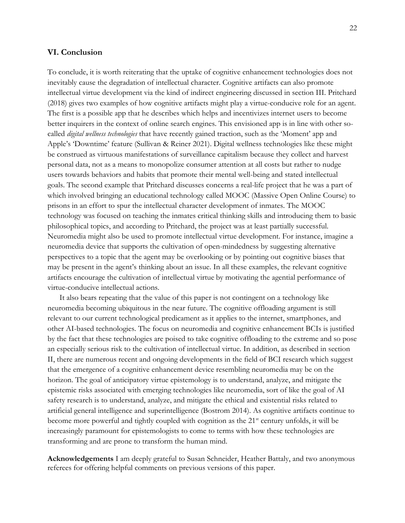### **VI. Conclusion**

To conclude, it is worth reiterating that the uptake of cognitive enhancement technologies does not inevitably cause the degradation of intellectual character. Cognitive artifacts can also promote intellectual virtue development via the kind of indirect engineering discussed in section III. Pritchard (2018) gives two examples of how cognitive artifacts might play a virtue-conducive role for an agent. The first is a possible app that he describes which helps and incentivizes internet users to become better inquirers in the context of online search engines. This envisioned app is in line with other socalled *digital wellness technologies* that have recently gained traction, such as the 'Moment' app and Apple's 'Downtime' feature (Sullivan & Reiner 2021). Digital wellness technologies like these might be construed as virtuous manifestations of surveillance capitalism because they collect and harvest personal data, not as a means to monopolize consumer attention at all costs but rather to nudge users towards behaviors and habits that promote their mental well-being and stated intellectual goals. The second example that Pritchard discusses concerns a real-life project that he was a part of which involved bringing an educational technology called MOOC (Massive Open Online Course) to prisons in an effort to spur the intellectual character development of inmates. The MOOC technology was focused on teaching the inmates critical thinking skills and introducing them to basic philosophical topics, and according to Pritchard, the project was at least partially successful. Neuromedia might also be used to promote intellectual virtue development. For instance, imagine a neuromedia device that supports the cultivation of open-mindedness by suggesting alternative perspectives to a topic that the agent may be overlooking or by pointing out cognitive biases that may be present in the agent's thinking about an issue. In all these examples, the relevant cognitive artifacts encourage the cultivation of intellectual virtue by motivating the agential performance of virtue-conducive intellectual actions.

It also bears repeating that the value of this paper is not contingent on a technology like neuromedia becoming ubiquitous in the near future. The cognitive offloading argument is still relevant to our current technological predicament as it applies to the internet, smartphones, and other AI-based technologies. The focus on neuromedia and cognitive enhancement BCIs is justified by the fact that these technologies are poised to take cognitive offloading to the extreme and so pose an especially serious risk to the cultivation of intellectual virtue. In addition, as described in section II, there are numerous recent and ongoing developments in the field of BCI research which suggest that the emergence of a cognitive enhancement device resembling neuromedia may be on the horizon. The goal of anticipatory virtue epistemology is to understand, analyze, and mitigate the epistemic risks associated with emerging technologies like neuromedia, sort of like the goal of AI safety research is to understand, analyze, and mitigate the ethical and existential risks related to artificial general intelligence and superintelligence (Bostrom 2014). As cognitive artifacts continue to become more powerful and tightly coupled with cognition as the 21<sup>st</sup> century unfolds, it will be increasingly paramount for epistemologists to come to terms with how these technologies are transforming and are prone to transform the human mind.

**Acknowledgements** I am deeply grateful to Susan Schneider, Heather Battaly, and two anonymous referees for offering helpful comments on previous versions of this paper.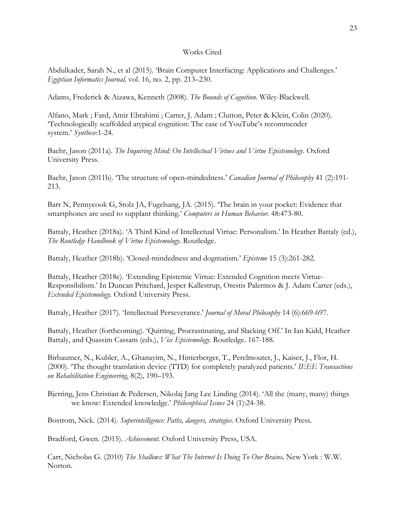### Works Cited

Abdulkader, Sarah N., et al (2015). 'Brain Computer Interfacing: Applications and Challenges.' *Egyptian Informatics Journal,* vol. 16, no. 2, pp. 213–230.

Adams, Frederick & Aizawa, Kenneth (2008). *The Bounds of Cognition*. Wiley-Blackwell.

Alfano, Mark ; Fard, Amir Ebrahimi ; Carter, J. Adam ; Clutton, Peter & Klein, Colin (2020). 'Technologically scaffolded atypical cognition: The case of YouTube's recommender system.' *Synthese*:1-24.

Baehr, Jason (2011a). *The Inquiring Mind: On Intellectual Virtues and Virtue Epistemology*. Oxford University Press.

Baehr, Jason (2011b). 'The structure of open-mindedness.' *Canadian Journal of Philosophy* 41 (2):191- 213.

Barr N, Pennycook G, Stolz JA, Fugelsang, JA. (2015). 'The brain in your pocket: Evidence that smartphones are used to supplant thinking.' *Computers in Human Behavior.* 48:473-80.

Battaly, Heather (2018a). 'A Third Kind of Intellectual Virtue: Personalism.' In Heather Battaly (ed.), *The Routledge Handbook of Virtue Epistemology*. Routledge.

Battaly, Heather (2018b). 'Closed-mindedness and dogmatism.' *Episteme* 15 (3):261-282.

Battaly, Heather (2018c). 'Extending Epistemic Virtue: Extended Cognition meets Virtue-Responsibilism.' In Duncan Pritchard, Jesper Kallestrup, Orestis Palermos & J. Adam Carter (eds.), *Extended Epistemology.* Oxford University Press.

Battaly, Heather (2017). 'Intellectual Perseverance.' *Journal of Moral Philosophy* 14 (6):669-697.

Battaly, Heather (forthcoming). 'Quitting, Procrastinating, and Slacking Off.' In Ian Kidd, Heather Battaly, and Quassim Cassam (eds.), *Vice Epistemology.* Routledge. 167-188.

Birbaumer, N., Kubler, A., Ghanayim, N., Hinterberger, T., Perelmouter, J., Kaiser, J., Flor, H. (2000). 'The thought translation device (TTD) for completely paralyzed patients.' *IEEE Transactions on Rehabilitation Engineering*, 8(2), 190–193.

Bjerring, Jens Christian & Pedersen, Nikolaj Jang Lee Linding (2014). 'All the (many, many) things we know: Extended knowledge.' *Philosophical Issues* 24 (1):24-38.

Bostrom, Nick. (2014). *Superintelligence: Paths, dangers, strategies*. Oxford University Press.

Bradford, Gwen. (2015). *Achievement*. Oxford University Press, USA.

Carr, Nicholas G. (2010) *The Shallows: What The Internet Is Doing To Our Brains***.** New York : W.W. Norton.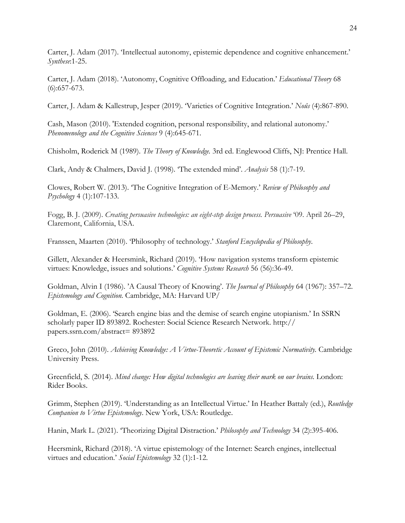Carter, J. Adam (2017). 'Intellectual autonomy, epistemic dependence and cognitive enhancement.' *Synthese*:1-25.

Carter, J. Adam (2018). 'Autonomy, Cognitive Offloading, and Education.' *Educational Theory* 68 (6):657-673.

Carter, J. Adam & Kallestrup, Jesper (2019). 'Varieties of Cognitive Integration.' *Noûs* (4):867-890.

Cash, Mason (2010). 'Extended cognition, personal responsibility, and relational autonomy.' *Phenomenology and the Cognitive Sciences* 9 (4):645-671.

Chisholm, Roderick M (1989). *The Theory of Knowledge.* 3rd ed. Englewood Cliffs, NJ: Prentice Hall.

Clark, Andy & Chalmers, David J. (1998). 'The extended mind'. *Analysis* 58 (1):7-19.

Clowes, Robert W. (2013). 'The Cognitive Integration of E-Memory.' *Review of Philosophy and Psychology* 4 (1):107-133.

Fogg, B. J. (2009). *Creating persuasive technologies: an eight-step design process. Persuasive* '09. April 26–29, Claremont, California, USA.

Franssen, Maarten (2010). 'Philosophy of technology.' *Stanford Encyclopedia of Philosophy*.

Gillett, Alexander & Heersmink, Richard (2019). 'How navigation systems transform epistemic virtues: Knowledge, issues and solutions.' *Cognitive Systems Research* 56 (56):36-49.

Goldman, Alvin I (1986). 'A Causal Theory of Knowing'. *The Journal of Philosophy* 64 (1967): 357–72. *Epistemology and Cognition.* Cambridge, MA: Harvard UP/

Goldman, E. (2006). 'Search engine bias and the demise of search engine utopianism.' In SSRN scholarly paper ID 893892. Rochester: Social Science Research Network. http:// papers.ssrn.com/abstract= 893892

Greco, John (2010). *Achieving Knowledge: A Virtue-Theoretic Account of Epistemic Normativity.* Cambridge University Press.

Greenfield, S. (2014). *Mind change: How digital technologies are leaving their mark on our brains.* London: Rider Books.

Grimm, Stephen (2019). 'Understanding as an Intellectual Virtue.' In Heather Battaly (ed.), *Routledge Companion to Virtue Epistemology*. New York, USA: Routledge.

Hanin, Mark L. (2021). 'Theorizing Digital Distraction.' *Philosophy and Technology* 34 (2):395-406.

Heersmink, Richard (2018). 'A virtue epistemology of the Internet: Search engines, intellectual virtues and education.' *Social Epistemology* 32 (1):1-12.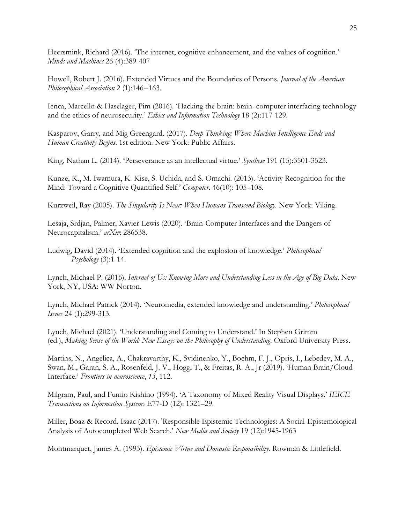Heersmink, Richard (2016). 'The internet, cognitive enhancement, and the values of cognition.' *Minds and Machines* 26 (4):389-407

Howell, Robert J. (2016). Extended Virtues and the Boundaries of Persons. *Journal of the American Philosophical Association* 2 (1):146--163.

Ienca, Marcello & Haselager, Pim (2016). 'Hacking the brain: brain–computer interfacing technology and the ethics of neurosecurity.' *Ethics and Information Technology* 18 (2):117-129.

Kasparov, Garry, and Mig Greengard. (2017). *Deep Thinking: Where Machine Intelligence Ends and Human Creativity Begins*. 1st edition. New York: Public Affairs.

King, Nathan L. (2014). 'Perseverance as an intellectual virtue.' *Synthese* 191 (15):3501-3523.

Kunze, K., M. Iwamura, K. Kise, S. Uchida, and S. Omachi. (2013). 'Activity Recognition for the Mind: Toward a Cognitive Quantified Self.' *Computer*. 46(10): 105–108.

Kurzweil, Ray (2005). *The Singularity Is Near: When Humans Transcend Biology.* New York: Viking.

Lesaja, Srdjan, Palmer, Xavier-Lewis (2020). 'Brain-Computer Interfaces and the Dangers of Neurocapitalism.' *arXiv*: 286538.

Ludwig, David (2014). 'Extended cognition and the explosion of knowledge.' *Philosophical Psychology* (3):1-14.

Lynch, Michael P. (2016). *Internet of Us: Knowing More and Understanding Less in the Age of Big Data*. New York, NY, USA: WW Norton.

Lynch, Michael Patrick (2014). 'Neuromedia, extended knowledge and understanding.' *Philosophical Issues* 24 (1):299-313.

Lynch, Michael (2021). 'Understanding and Coming to Understand.' In Stephen Grimm (ed.), *Making Sense of the World: New Essays on the Philosophy of Understanding*. Oxford University Press.

Martins, N., Angelica, A., Chakravarthy, K., Svidinenko, Y., Boehm, F. J., Opris, I., Lebedev, M. A., Swan, M., Garan, S. A., Rosenfeld, J. V., Hogg, T., & Freitas, R. A., Jr (2019). 'Human Brain/Cloud Interface.' *Frontiers in neuroscience*, *13*, 112.

Milgram, Paul, and Fumio Kishino (1994). 'A Taxonomy of Mixed Reality Visual Displays.' *IEICE Transactions on Information Systems* E77-D (12): 1321–29.

Miller, Boaz & Record, Isaac (2017). 'Responsible Epistemic Technologies: A Social-Epistemological Analysis of Autocompleted Web Search.' *New Media and Society* 19 (12):1945-1963

Montmarquet, James A. (1993). *Epistemic Virtue and Doxastic Responsibility.* Rowman & Littlefield.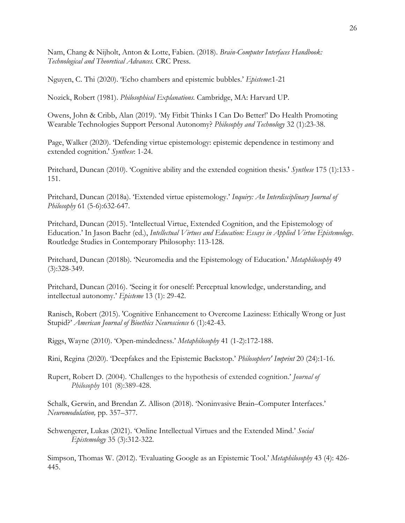Nam, Chang & Nijholt, Anton & Lotte, Fabien. (2018). *Brain-Computer Interfaces Handbook: Technological and Theoretical Advances.* CRC Press.

Nguyen, C. Thi (2020). 'Echo chambers and epistemic bubbles.' *Episteme*:1-21

Nozick, Robert (1981). *Philosophical Explanations.* Cambridge, MA: Harvard UP.

Owens, John & Cribb, Alan (2019). 'My Fitbit Thinks I Can Do Better!' Do Health Promoting Wearable Technologies Support Personal Autonomy? *Philosophy and Technology* 32 (1):23-38.

Page, Walker (2020). 'Defending virtue epistemology: epistemic dependence in testimony and extended cognition.' *Synthese*: 1-24.

Pritchard, Duncan (2010). 'Cognitive ability and the extended cognition thesis.' *Synthese* 175 (1):133 - 151.

Pritchard, Duncan (2018a). 'Extended virtue epistemology.' *Inquiry: An Interdisciplinary Journal of Philosophy* 61 (5-6):632-647.

Pritchard, Duncan (2015). 'Intellectual Virtue, Extended Cognition, and the Epistemology of Education.' In Jason Baehr (ed.), *Intellectual Virtues and Education: Essays in Applied Virtue Epistemology*. Routledge Studies in Contemporary Philosophy: 113-128.

Pritchard, Duncan (2018b). 'Neuromedia and the Epistemology of Education.' *Metaphilosophy* 49 (3):328-349.

Pritchard, Duncan (2016). 'Seeing it for oneself: Perceptual knowledge, understanding, and intellectual autonomy.' *Episteme* 13 (1): 29-42.

Ranisch, Robert (2015). 'Cognitive Enhancement to Overcome Laziness: Ethically Wrong or Just Stupid?' *American Journal of Bioethics Neuroscience* 6 (1):42-43.

Riggs, Wayne (2010). 'Open-mindedness.' *Metaphilosophy* 41 (1-2):172-188.

Rini, Regina (2020). 'Deepfakes and the Epistemic Backstop.' *Philosophers' Imprint* 20 (24):1-16.

Rupert, Robert D. (2004). 'Challenges to the hypothesis of extended cognition.' *Journal of Philosophy* 101 (8):389-428.

Schalk, Gerwin, and Brendan Z. Allison (2018). 'Noninvasive Brain–Computer Interfaces.' *Neuromodulation,* pp. 357–377.

Schwengerer, Lukas (2021). 'Online Intellectual Virtues and the Extended Mind.' *Social Epistemology* 35 (3):312-322.

Simpson, Thomas W. (2012). 'Evaluating Google as an Epistemic Tool.' *Metaphilosophy* 43 (4): 426- 445.